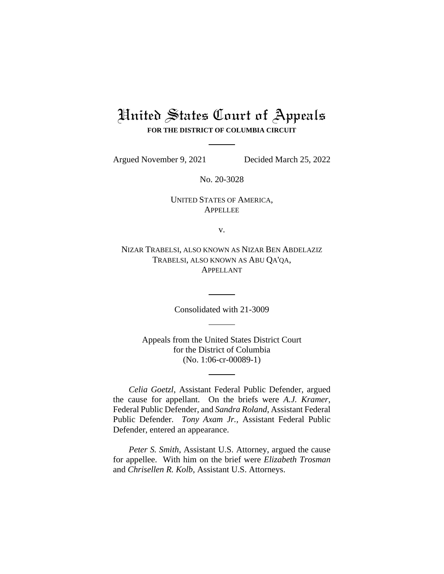# United States Court of Appeals **FOR THE DISTRICT OF COLUMBIA CIRCUIT**

Argued November 9, 2021 Decided March 25, 2022

No. 20-3028

UNITED STATES OF AMERICA, APPELLEE

v.

NIZAR TRABELSI, ALSO KNOWN AS NIZAR BEN ABDELAZIZ TRABELSI, ALSO KNOWN AS ABU QA'QA, APPELLANT

Consolidated with 21-3009

Appeals from the United States District Court for the District of Columbia (No. 1:06-cr-00089-1)

*Celia Goetzl*, Assistant Federal Public Defender, argued the cause for appellant. On the briefs were *A.J. Kramer*, Federal Public Defender, and *Sandra Roland*, Assistant Federal Public Defender. *Tony Axam Jr.,* Assistant Federal Public Defender, entered an appearance.

*Peter S. Smith*, Assistant U.S. Attorney, argued the cause for appellee. With him on the brief were *Elizabeth Trosman*  and *Chrisellen R. Kolb*, Assistant U.S. Attorneys.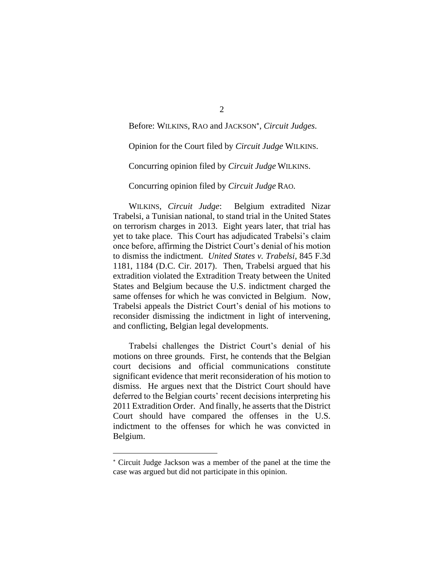Before: WILKINS, RAO and JACKSON , *Circuit Judges*.

Opinion for the Court filed by *Circuit Judge* WILKINS.

Concurring opinion filed by *Circuit Judge* WILKINS.

Concurring opinion filed by *Circuit Judge* RAO.

WILKINS, *Circuit Judge*: Belgium extradited Nizar Trabelsi, a Tunisian national, to stand trial in the United States on terrorism charges in 2013. Eight years later, that trial has yet to take place. This Court has adjudicated Trabelsi's claim once before, affirming the District Court's denial of his motion to dismiss the indictment. *United States v. Trabelsi*, 845 F.3d 1181, 1184 (D.C. Cir. 2017). Then, Trabelsi argued that his extradition violated the Extradition Treaty between the United States and Belgium because the U.S. indictment charged the same offenses for which he was convicted in Belgium. Now, Trabelsi appeals the District Court's denial of his motions to reconsider dismissing the indictment in light of intervening, and conflicting, Belgian legal developments.

Trabelsi challenges the District Court's denial of his motions on three grounds. First, he contends that the Belgian court decisions and official communications constitute significant evidence that merit reconsideration of his motion to dismiss. He argues next that the District Court should have deferred to the Belgian courts' recent decisions interpreting his 2011 Extradition Order. And finally, he asserts that the District Court should have compared the offenses in the U.S. indictment to the offenses for which he was convicted in Belgium.

Circuit Judge Jackson was a member of the panel at the time the case was argued but did not participate in this opinion.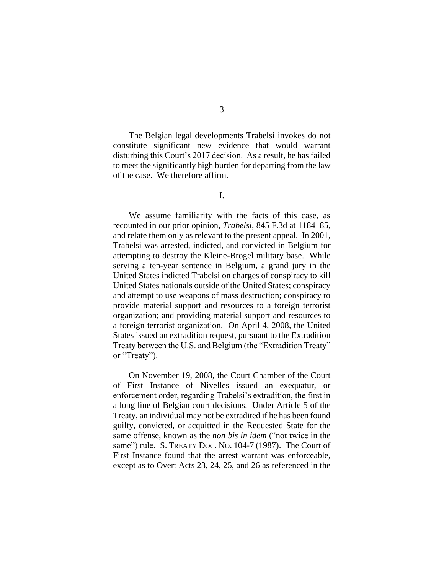The Belgian legal developments Trabelsi invokes do not constitute significant new evidence that would warrant disturbing this Court's 2017 decision. As a result, he has failed to meet the significantly high burden for departing from the law of the case. We therefore affirm.

I.

We assume familiarity with the facts of this case, as recounted in our prior opinion, *Trabelsi*, 845 F.3d at 1184–85, and relate them only as relevant to the present appeal. In 2001, Trabelsi was arrested, indicted, and convicted in Belgium for attempting to destroy the Kleine-Brogel military base. While serving a ten-year sentence in Belgium, a grand jury in the United States indicted Trabelsi on charges of conspiracy to kill United States nationals outside of the United States; conspiracy and attempt to use weapons of mass destruction; conspiracy to provide material support and resources to a foreign terrorist organization; and providing material support and resources to a foreign terrorist organization. On April 4, 2008, the United States issued an extradition request, pursuant to the Extradition Treaty between the U.S. and Belgium (the "Extradition Treaty" or "Treaty").

On November 19, 2008, the Court Chamber of the Court of First Instance of Nivelles issued an exequatur, or enforcement order, regarding Trabelsi's extradition, the first in a long line of Belgian court decisions. Under Article 5 of the Treaty, an individual may not be extradited if he has been found guilty, convicted, or acquitted in the Requested State for the same offense, known as the *non bis in idem* ("not twice in the same") rule. S. TREATY DOC. NO. 104-7 (1987). The Court of First Instance found that the arrest warrant was enforceable, except as to Overt Acts 23, 24, 25, and 26 as referenced in the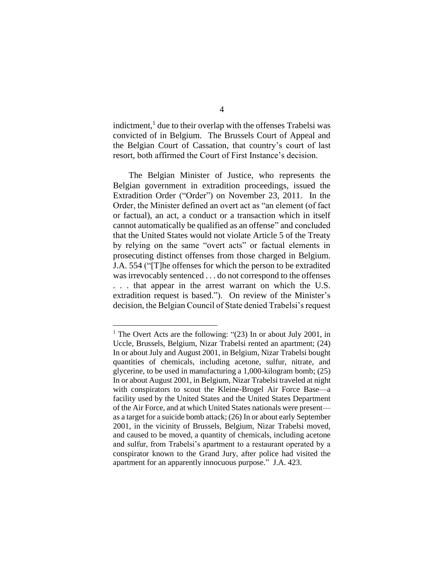indictment,<sup>1</sup> due to their overlap with the offenses Trabelsi was convicted of in Belgium. The Brussels Court of Appeal and the Belgian Court of Cassation, that country's court of last resort, both affirmed the Court of First Instance's decision.

The Belgian Minister of Justice, who represents the Belgian government in extradition proceedings, issued the Extradition Order ("Order") on November 23, 2011. In the Order, the Minister defined an overt act as "an element (of fact or factual), an act, a conduct or a transaction which in itself cannot automatically be qualified as an offense" and concluded that the United States would not violate Article 5 of the Treaty by relying on the same "overt acts" or factual elements in prosecuting distinct offenses from those charged in Belgium. J.A. 554 ("[T]he offenses for which the person to be extradited was irrevocably sentenced . . . do not correspond to the offenses . . . that appear in the arrest warrant on which the U.S. extradition request is based."). On review of the Minister's decision, the Belgian Council of State denied Trabelsi's request

<sup>&</sup>lt;sup>1</sup> The Overt Acts are the following: " $(23)$  In or about July 2001, in Uccle, Brussels, Belgium, Nizar Trabelsi rented an apartment; (24) In or about July and August 2001, in Belgium, Nizar Trabelsi bought quantities of chemicals, including acetone, sulfur, nitrate, and glycerine, to be used in manufacturing a 1,000-kilogram bomb; (25) In or about August 2001, in Belgium, Nizar Trabelsi traveled at night with conspirators to scout the Kleine-Brogel Air Force Base—a facility used by the United States and the United States Department of the Air Force, and at which United States nationals were present as a target for a suicide bomb attack; (26) In or about early September 2001, in the vicinity of Brussels, Belgium, Nizar Trabelsi moved, and caused to be moved, a quantity of chemicals, including acetone and sulfur, from Trabelsi's apartment to a restaurant operated by a conspirator known to the Grand Jury, after police had visited the apartment for an apparently innocuous purpose." J.A. 423.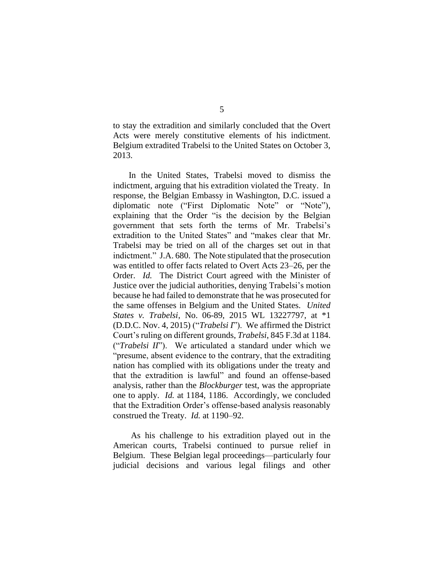to stay the extradition and similarly concluded that the Overt Acts were merely constitutive elements of his indictment. Belgium extradited Trabelsi to the United States on October 3, 2013.

In the United States, Trabelsi moved to dismiss the indictment, arguing that his extradition violated the Treaty. In response, the Belgian Embassy in Washington, D.C. issued a diplomatic note ("First Diplomatic Note" or "Note"), explaining that the Order "is the decision by the Belgian government that sets forth the terms of Mr. Trabelsi's extradition to the United States" and "makes clear that Mr. Trabelsi may be tried on all of the charges set out in that indictment." J.A. 680. The Note stipulated that the prosecution was entitled to offer facts related to Overt Acts 23–26, per the Order. *Id.* The District Court agreed with the Minister of Justice over the judicial authorities, denying Trabelsi's motion because he had failed to demonstrate that he was prosecuted for the same offenses in Belgium and the United States. *United States v. Trabelsi*, No. 06-89, 2015 WL 13227797, at \*1 (D.D.C. Nov. 4, 2015) ("*Trabelsi I*"). We affirmed the District Court's ruling on different grounds, *Trabelsi*, 845 F.3d at 1184. ("*Trabelsi II*"). We articulated a standard under which we "presume, absent evidence to the contrary, that the extraditing nation has complied with its obligations under the treaty and that the extradition is lawful" and found an offense-based analysis, rather than the *Blockburger* test, was the appropriate one to apply. *Id.* at 1184, 1186. Accordingly, we concluded that the Extradition Order's offense-based analysis reasonably construed the Treaty. *Id.* at 1190–92.

As his challenge to his extradition played out in the American courts, Trabelsi continued to pursue relief in Belgium. These Belgian legal proceedings—particularly four judicial decisions and various legal filings and other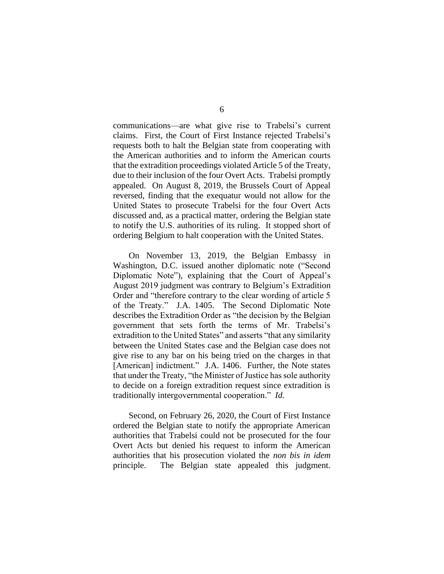communications—are what give rise to Trabelsi's current claims. First, the Court of First Instance rejected Trabelsi's requests both to halt the Belgian state from cooperating with the American authorities and to inform the American courts that the extradition proceedings violated Article 5 of the Treaty, due to their inclusion of the four Overt Acts. Trabelsi promptly appealed. On August 8, 2019, the Brussels Court of Appeal reversed, finding that the exequatur would not allow for the United States to prosecute Trabelsi for the four Overt Acts discussed and, as a practical matter, ordering the Belgian state to notify the U.S. authorities of its ruling. It stopped short of ordering Belgium to halt cooperation with the United States.

On November 13, 2019, the Belgian Embassy in Washington, D.C. issued another diplomatic note ("Second Diplomatic Note"), explaining that the Court of Appeal's August 2019 judgment was contrary to Belgium's Extradition Order and "therefore contrary to the clear wording of article 5 of the Treaty." J.A. 1405. The Second Diplomatic Note describes the Extradition Order as "the decision by the Belgian government that sets forth the terms of Mr. Trabelsi's extradition to the United States" and asserts "that any similarity between the United States case and the Belgian case does not give rise to any bar on his being tried on the charges in that [American] indictment." J.A. 1406. Further, the Note states that under the Treaty, "the Minister of Justice has sole authority to decide on a foreign extradition request since extradition is traditionally intergovernmental cooperation." *Id.* 

Second, on February 26, 2020, the Court of First Instance ordered the Belgian state to notify the appropriate American authorities that Trabelsi could not be prosecuted for the four Overt Acts but denied his request to inform the American authorities that his prosecution violated the *non bis in idem*  principle. The Belgian state appealed this judgment.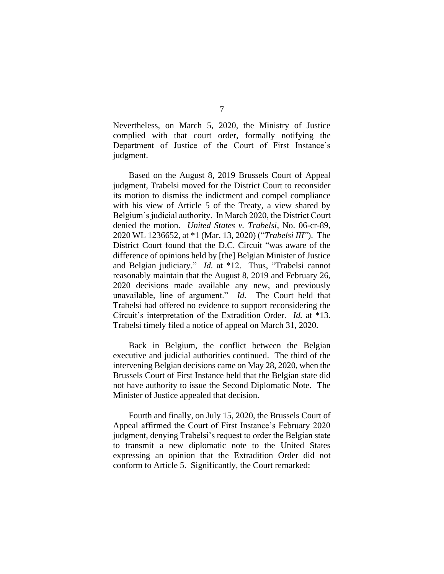Nevertheless, on March 5, 2020, the Ministry of Justice complied with that court order, formally notifying the Department of Justice of the Court of First Instance's judgment.

Based on the August 8, 2019 Brussels Court of Appeal judgment, Trabelsi moved for the District Court to reconsider its motion to dismiss the indictment and compel compliance with his view of Article 5 of the Treaty, a view shared by Belgium's judicial authority. In March 2020, the District Court denied the motion. *United States v. Trabelsi*, No. 06-cr-89, 2020 WL 1236652, at \*1 (Mar. 13, 2020) ("*Trabelsi III*"). The District Court found that the D.C. Circuit "was aware of the difference of opinions held by [the] Belgian Minister of Justice and Belgian judiciary." *Id.* at \*12. Thus, "Trabelsi cannot reasonably maintain that the August 8, 2019 and February 26, 2020 decisions made available any new, and previously unavailable, line of argument." *Id.* The Court held that Trabelsi had offered no evidence to support reconsidering the Circuit's interpretation of the Extradition Order. *Id.* at \*13. Trabelsi timely filed a notice of appeal on March 31, 2020.

Back in Belgium, the conflict between the Belgian executive and judicial authorities continued. The third of the intervening Belgian decisions came on May 28, 2020, when the Brussels Court of First Instance held that the Belgian state did not have authority to issue the Second Diplomatic Note. The Minister of Justice appealed that decision.

Fourth and finally, on July 15, 2020, the Brussels Court of Appeal affirmed the Court of First Instance's February 2020 judgment, denying Trabelsi's request to order the Belgian state to transmit a new diplomatic note to the United States expressing an opinion that the Extradition Order did not conform to Article 5. Significantly, the Court remarked: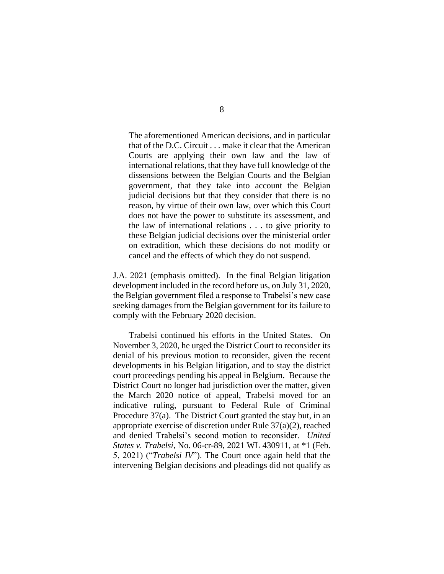The aforementioned American decisions, and in particular that of the D.C. Circuit . . . make it clear that the American Courts are applying their own law and the law of international relations, that they have full knowledge of the dissensions between the Belgian Courts and the Belgian government, that they take into account the Belgian judicial decisions but that they consider that there is no reason, by virtue of their own law, over which this Court does not have the power to substitute its assessment, and the law of international relations . . . to give priority to these Belgian judicial decisions over the ministerial order on extradition, which these decisions do not modify or cancel and the effects of which they do not suspend.

J.A. 2021 (emphasis omitted). In the final Belgian litigation development included in the record before us, on July 31, 2020, the Belgian government filed a response to Trabelsi's new case seeking damages from the Belgian government for its failure to comply with the February 2020 decision.

Trabelsi continued his efforts in the United States. On November 3, 2020, he urged the District Court to reconsider its denial of his previous motion to reconsider, given the recent developments in his Belgian litigation, and to stay the district court proceedings pending his appeal in Belgium. Because the District Court no longer had jurisdiction over the matter, given the March 2020 notice of appeal, Trabelsi moved for an indicative ruling, pursuant to Federal Rule of Criminal Procedure 37(a). The District Court granted the stay but, in an appropriate exercise of discretion under Rule 37(a)(2), reached and denied Trabelsi's second motion to reconsider. *United States v. Trabelsi*, No. 06-cr-89, 2021 WL 430911, at \*1 (Feb. 5, 2021) ("*Trabelsi IV*"). The Court once again held that the intervening Belgian decisions and pleadings did not qualify as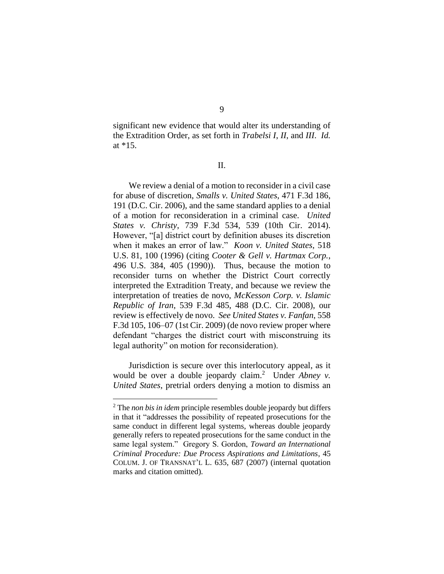significant new evidence that would alter its understanding of the Extradition Order, as set forth in *Trabelsi I*, *II*, and *III*. *Id.*  at \*15.

II.

We review a denial of a motion to reconsider in a civil case for abuse of discretion, *Smalls v. United States*, 471 F.3d 186, 191 (D.C. Cir. 2006), and the same standard applies to a denial of a motion for reconsideration in a criminal case. *United States v. Christy*, 739 F.3d 534, 539 (10th Cir. 2014). However, "[a] district court by definition abuses its discretion when it makes an error of law." *Koon v. United States*, 518 U.S. 81, 100 (1996) (citing *Cooter & Gell v. Hartmax Corp.*, 496 U.S. 384, 405 (1990)). Thus, because the motion to reconsider turns on whether the District Court correctly interpreted the Extradition Treaty, and because we review the interpretation of treaties de novo, *McKesson Corp. v. Islamic Republic of Iran*, 539 F.3d 485, 488 (D.C. Cir. 2008), our review is effectively de novo. *See United States v. Fanfan*, 558 F.3d 105, 106–07 (1st Cir. 2009) (de novo review proper where defendant "charges the district court with misconstruing its legal authority" on motion for reconsideration).

Jurisdiction is secure over this interlocutory appeal, as it would be over a double jeopardy claim.<sup>2</sup> Under *Abney v. United States*, pretrial orders denying a motion to dismiss an

<sup>2</sup> The *non bis in idem* principle resembles double jeopardy but differs in that it "addresses the possibility of repeated prosecutions for the same conduct in different legal systems, whereas double jeopardy generally refers to repeated prosecutions for the same conduct in the same legal system." Gregory S. Gordon, *Toward an International Criminal Procedure: Due Process Aspirations and Limitations*, 45 COLUM. J. OF TRANSNAT'L L. 635, 687 (2007) (internal quotation marks and citation omitted).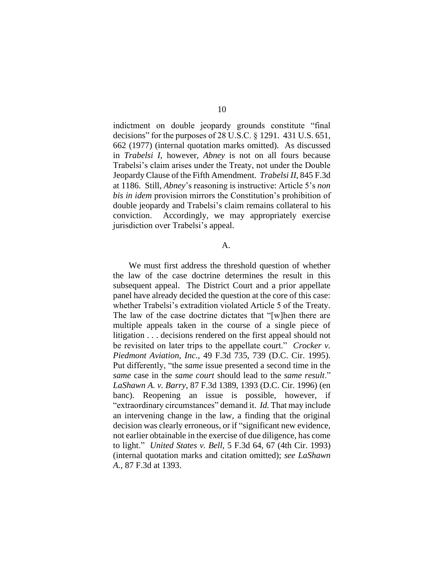indictment on double jeopardy grounds constitute "final decisions" for the purposes of 28 U.S.C. § 1291. 431 U.S. 651, 662 (1977) (internal quotation marks omitted). As discussed in *Trabelsi I*, however, *Abney* is not on all fours because Trabelsi's claim arises under the Treaty, not under the Double Jeopardy Clause of the Fifth Amendment. *Trabelsi II*, 845 F.3d at 1186. Still, *Abney*'s reasoning is instructive: Article 5's *non bis in idem* provision mirrors the Constitution's prohibition of double jeopardy and Trabelsi's claim remains collateral to his conviction. Accordingly, we may appropriately exercise jurisdiction over Trabelsi's appeal.

#### A.

We must first address the threshold question of whether the law of the case doctrine determines the result in this subsequent appeal. The District Court and a prior appellate panel have already decided the question at the core of this case: whether Trabelsi's extradition violated Article 5 of the Treaty. The law of the case doctrine dictates that "[w]hen there are multiple appeals taken in the course of a single piece of litigation . . . decisions rendered on the first appeal should not be revisited on later trips to the appellate court." *Crocker v. Piedmont Aviation, Inc.*, 49 F.3d 735, 739 (D.C. Cir. 1995). Put differently, "the *same* issue presented a second time in the *same* case in the *same court* should lead to the *same result*." *LaShawn A. v. Barry*, 87 F.3d 1389, 1393 (D.C. Cir. 1996) (en banc). Reopening an issue is possible, however, if "extraordinary circumstances" demand it. *Id.* That may include an intervening change in the law, a finding that the original decision was clearly erroneous, or if "significant new evidence, not earlier obtainable in the exercise of due diligence, has come to light." *United States v. Bell*, 5 F.3d 64, 67 (4th Cir. 1993) (internal quotation marks and citation omitted); *see LaShawn A.*, 87 F.3d at 1393.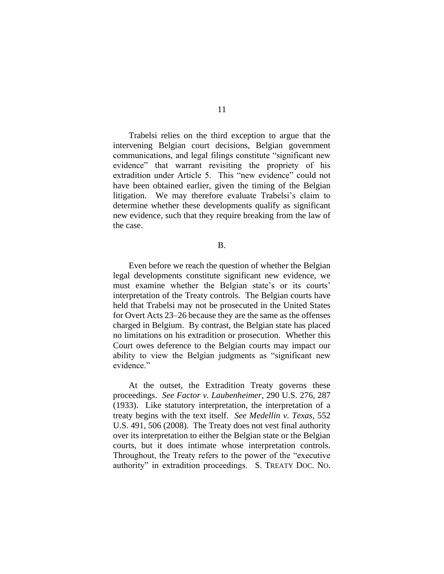Trabelsi relies on the third exception to argue that the intervening Belgian court decisions, Belgian government communications, and legal filings constitute "significant new evidence" that warrant revisiting the propriety of his extradition under Article 5. This "new evidence" could not have been obtained earlier, given the timing of the Belgian litigation. We may therefore evaluate Trabelsi's claim to determine whether these developments qualify as significant new evidence, such that they require breaking from the law of the case.

## B.

Even before we reach the question of whether the Belgian legal developments constitute significant new evidence, we must examine whether the Belgian state's or its courts' interpretation of the Treaty controls. The Belgian courts have held that Trabelsi may not be prosecuted in the United States for Overt Acts 23–26 because they are the same as the offenses charged in Belgium. By contrast, the Belgian state has placed no limitations on his extradition or prosecution. Whether this Court owes deference to the Belgian courts may impact our ability to view the Belgian judgments as "significant new evidence."

At the outset, the Extradition Treaty governs these proceedings. *See Factor v. Laubenheimer*, 290 U.S. 276, 287 (1933). Like statutory interpretation, the interpretation of a treaty begins with the text itself. *See Medellin v. Texas*, 552 U.S. 491, 506 (2008). The Treaty does not vest final authority over its interpretation to either the Belgian state or the Belgian courts, but it does intimate whose interpretation controls. Throughout, the Treaty refers to the power of the "executive authority" in extradition proceedings. S. TREATY DOC. NO.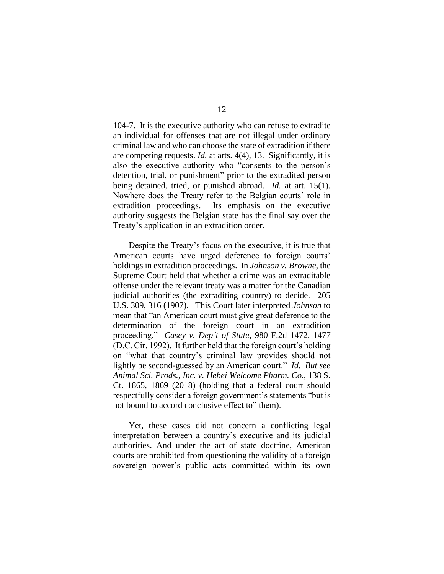104-7. It is the executive authority who can refuse to extradite an individual for offenses that are not illegal under ordinary criminal law and who can choose the state of extradition if there are competing requests. *Id.* at arts. 4(4), 13. Significantly, it is also the executive authority who "consents to the person's detention, trial, or punishment" prior to the extradited person being detained, tried, or punished abroad. *Id.* at art. 15(1). Nowhere does the Treaty refer to the Belgian courts' role in extradition proceedings. Its emphasis on the executive authority suggests the Belgian state has the final say over the Treaty's application in an extradition order.

Despite the Treaty's focus on the executive, it is true that American courts have urged deference to foreign courts' holdings in extradition proceedings. In *Johnson v. Browne*, the Supreme Court held that whether a crime was an extraditable offense under the relevant treaty was a matter for the Canadian judicial authorities (the extraditing country) to decide. 205 U.S. 309, 316 (1907). This Court later interpreted *Johnson* to mean that "an American court must give great deference to the determination of the foreign court in an extradition proceeding." *Casey v. Dep't of State*, 980 F.2d 1472, 1477 (D.C. Cir. 1992). It further held that the foreign court's holding on "what that country's criminal law provides should not lightly be second-guessed by an American court." *Id. But see Animal Sci. Prods., Inc. v. Hebei Welcome Pharm. Co.*, 138 S. Ct. 1865, 1869 (2018) (holding that a federal court should respectfully consider a foreign government's statements "but is not bound to accord conclusive effect to" them).

Yet, these cases did not concern a conflicting legal interpretation between a country's executive and its judicial authorities. And under the act of state doctrine, American courts are prohibited from questioning the validity of a foreign sovereign power's public acts committed within its own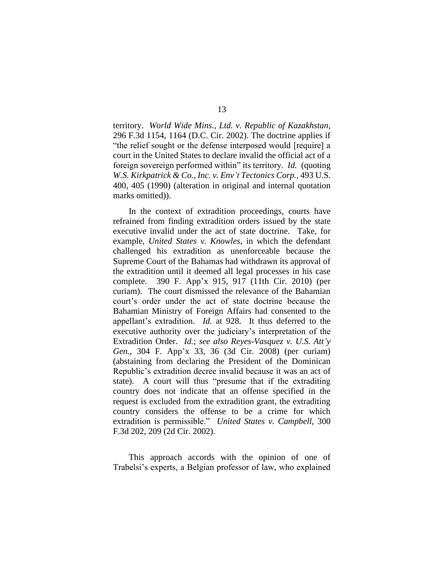territory. *World Wide Mins., Ltd. v. Republic of Kazakhstan*, 296 F.3d 1154, 1164 (D.C. Cir. 2002). The doctrine applies if "the relief sought or the defense interposed would [require] a court in the United States to declare invalid the official act of a foreign sovereign performed within" its territory. *Id.* (quoting *W.S. Kirkpatrick & Co., Inc. v. Env't Tectonics Corp.*, 493 U.S. 400, 405 (1990) (alteration in original and internal quotation marks omitted)).

In the context of extradition proceedings, courts have refrained from finding extradition orders issued by the state executive invalid under the act of state doctrine. Take, for example, *United States v. Knowles*, in which the defendant challenged his extradition as unenforceable because the Supreme Court of the Bahamas had withdrawn its approval of the extradition until it deemed all legal processes in his case complete. 390 F. App'x 915, 917 (11th Cir. 2010) (per curiam). The court dismissed the relevance of the Bahamian court's order under the act of state doctrine because the Bahamian Ministry of Foreign Affairs had consented to the appellant's extradition. *Id.* at 928. It thus deferred to the executive authority over the judiciary's interpretation of the Extradition Order. *Id.*; *see also Reyes-Vasquez v. U.S. Att'y Gen.*, 304 F. App'x 33, 36 (3d Cir. 2008) (per curiam) (abstaining from declaring the President of the Dominican Republic's extradition decree invalid because it was an act of state). A court will thus "presume that if the extraditing country does not indicate that an offense specified in the request is excluded from the extradition grant, the extraditing country considers the offense to be a crime for which extradition is permissible." *United States v. Campbell*, 300 F.3d 202, 209 (2d Cir. 2002).

This approach accords with the opinion of one of Trabelsi's experts, a Belgian professor of law, who explained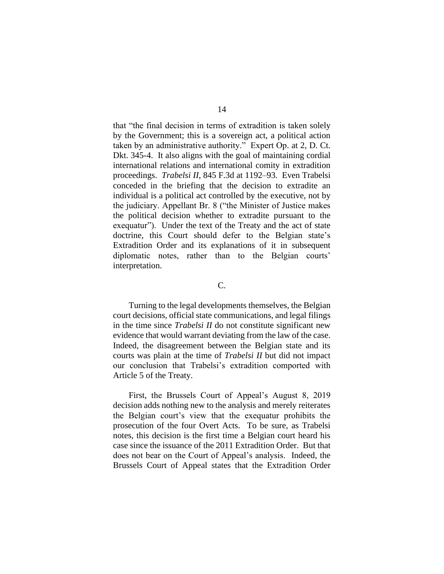that "the final decision in terms of extradition is taken solely by the Government; this is a sovereign act, a political action taken by an administrative authority." Expert Op. at 2, D. Ct. Dkt. 345-4. It also aligns with the goal of maintaining cordial international relations and international comity in extradition proceedings. *Trabelsi II*, 845 F.3d at 1192–93. Even Trabelsi conceded in the briefing that the decision to extradite an individual is a political act controlled by the executive, not by the judiciary. Appellant Br. 8 ("the Minister of Justice makes the political decision whether to extradite pursuant to the exequatur"). Under the text of the Treaty and the act of state doctrine, this Court should defer to the Belgian state's Extradition Order and its explanations of it in subsequent diplomatic notes, rather than to the Belgian courts' interpretation.

### C.

Turning to the legal developments themselves, the Belgian court decisions, official state communications, and legal filings in the time since *Trabelsi II* do not constitute significant new evidence that would warrant deviating from the law of the case. Indeed, the disagreement between the Belgian state and its courts was plain at the time of *Trabelsi II* but did not impact our conclusion that Trabelsi's extradition comported with Article 5 of the Treaty*.* 

First, the Brussels Court of Appeal's August 8, 2019 decision adds nothing new to the analysis and merely reiterates the Belgian court's view that the exequatur prohibits the prosecution of the four Overt Acts. To be sure, as Trabelsi notes, this decision is the first time a Belgian court heard his case since the issuance of the 2011 Extradition Order. But that does not bear on the Court of Appeal's analysis. Indeed, the Brussels Court of Appeal states that the Extradition Order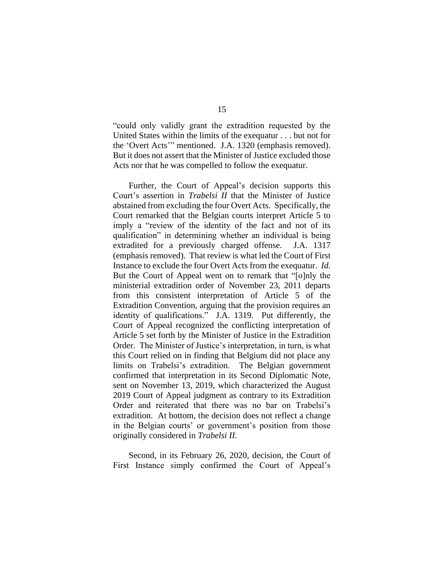"could only validly grant the extradition requested by the United States within the limits of the exequatur . . . but not for the 'Overt Acts'" mentioned. J.A. 1320 (emphasis removed). But it does not assert that the Minister of Justice excluded those Acts nor that he was compelled to follow the exequatur.

Further, the Court of Appeal's decision supports this Court's assertion in *Trabelsi II* that the Minister of Justice abstained from excluding the four Overt Acts. Specifically, the Court remarked that the Belgian courts interpret Article 5 to imply a "review of the identity of the fact and not of its qualification" in determining whether an individual is being extradited for a previously charged offense. J.A. 1317 (emphasis removed). That review is what led the Court of First Instance to exclude the four Overt Acts from the exequatur. *Id.* But the Court of Appeal went on to remark that "[o]nly the ministerial extradition order of November 23, 2011 departs from this consistent interpretation of Article 5 of the Extradition Convention, arguing that the provision requires an identity of qualifications." J.A. 1319. Put differently, the Court of Appeal recognized the conflicting interpretation of Article 5 set forth by the Minister of Justice in the Extradition Order. The Minister of Justice's interpretation, in turn, is what this Court relied on in finding that Belgium did not place any limits on Trabelsi's extradition. The Belgian government confirmed that interpretation in its Second Diplomatic Note, sent on November 13, 2019, which characterized the August 2019 Court of Appeal judgment as contrary to its Extradition Order and reiterated that there was no bar on Trabelsi's extradition. At bottom, the decision does not reflect a change in the Belgian courts' or government's position from those originally considered in *Trabelsi II*.

Second, in its February 26, 2020, decision, the Court of First Instance simply confirmed the Court of Appeal's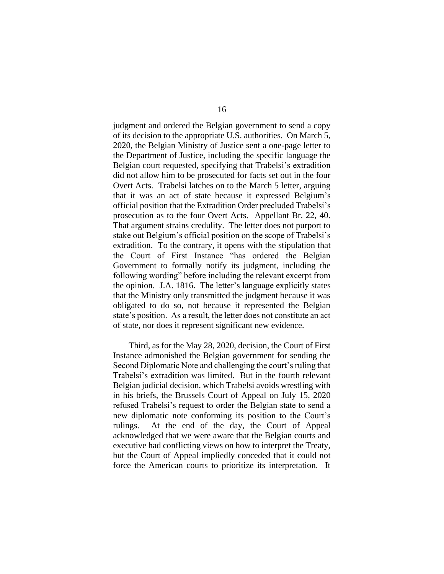judgment and ordered the Belgian government to send a copy of its decision to the appropriate U.S. authorities. On March 5, 2020, the Belgian Ministry of Justice sent a one-page letter to the Department of Justice, including the specific language the Belgian court requested, specifying that Trabelsi's extradition did not allow him to be prosecuted for facts set out in the four Overt Acts. Trabelsi latches on to the March 5 letter, arguing that it was an act of state because it expressed Belgium's official position that the Extradition Order precluded Trabelsi's prosecution as to the four Overt Acts. Appellant Br. 22, 40. That argument strains credulity. The letter does not purport to stake out Belgium's official position on the scope of Trabelsi's extradition. To the contrary, it opens with the stipulation that the Court of First Instance "has ordered the Belgian Government to formally notify its judgment, including the following wording" before including the relevant excerpt from the opinion. J.A. 1816.The letter's language explicitly states that the Ministry only transmitted the judgment because it was obligated to do so, not because it represented the Belgian state's position. As a result, the letter does not constitute an act of state, nor does it represent significant new evidence.

Third, as for the May 28, 2020, decision, the Court of First Instance admonished the Belgian government for sending the Second Diplomatic Note and challenging the court's ruling that Trabelsi's extradition was limited. But in the fourth relevant Belgian judicial decision, which Trabelsi avoids wrestling with in his briefs, the Brussels Court of Appeal on July 15, 2020 refused Trabelsi's request to order the Belgian state to send a new diplomatic note conforming its position to the Court's rulings. At the end of the day, the Court of Appeal acknowledged that we were aware that the Belgian courts and executive had conflicting views on how to interpret the Treaty, but the Court of Appeal impliedly conceded that it could not force the American courts to prioritize its interpretation. It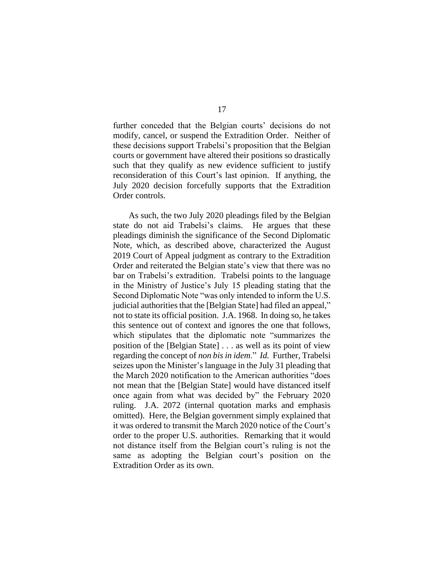further conceded that the Belgian courts' decisions do not modify, cancel, or suspend the Extradition Order. Neither of these decisions support Trabelsi's proposition that the Belgian courts or government have altered their positions so drastically such that they qualify as new evidence sufficient to justify reconsideration of this Court's last opinion. If anything, the July 2020 decision forcefully supports that the Extradition Order controls.

As such, the two July 2020 pleadings filed by the Belgian state do not aid Trabelsi's claims. He argues that these pleadings diminish the significance of the Second Diplomatic Note, which, as described above, characterized the August 2019 Court of Appeal judgment as contrary to the Extradition Order and reiterated the Belgian state's view that there was no bar on Trabelsi's extradition. Trabelsi points to the language in the Ministry of Justice's July 15 pleading stating that the Second Diplomatic Note "was only intended to inform the U.S. judicial authorities that the [Belgian State] had filed an appeal," not to state its official position. J.A. 1968. In doing so, he takes this sentence out of context and ignores the one that follows, which stipulates that the diplomatic note "summarizes the position of the [Belgian State] . . . as well as its point of view regarding the concept of *non bis in idem*." *Id.* Further, Trabelsi seizes upon the Minister's language in the July 31 pleading that the March 2020 notification to the American authorities "does not mean that the [Belgian State] would have distanced itself once again from what was decided by" the February 2020 ruling. J.A. 2072 (internal quotation marks and emphasis omitted). Here, the Belgian government simply explained that it was ordered to transmit the March 2020 notice of the Court's order to the proper U.S. authorities. Remarking that it would not distance itself from the Belgian court's ruling is not the same as adopting the Belgian court's position on the Extradition Order as its own.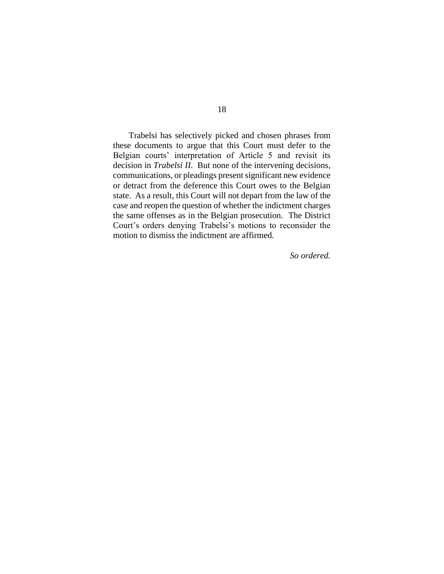Trabelsi has selectively picked and chosen phrases from these documents to argue that this Court must defer to the Belgian courts' interpretation of Article 5 and revisit its decision in *Trabelsi II*. But none of the intervening decisions, communications, or pleadings present significant new evidence or detract from the deference this Court owes to the Belgian state. As a result, this Court will not depart from the law of the case and reopen the question of whether the indictment charges the same offenses as in the Belgian prosecution. The District Court's orders denying Trabelsi's motions to reconsider the motion to dismiss the indictment are affirmed.

*So ordered.*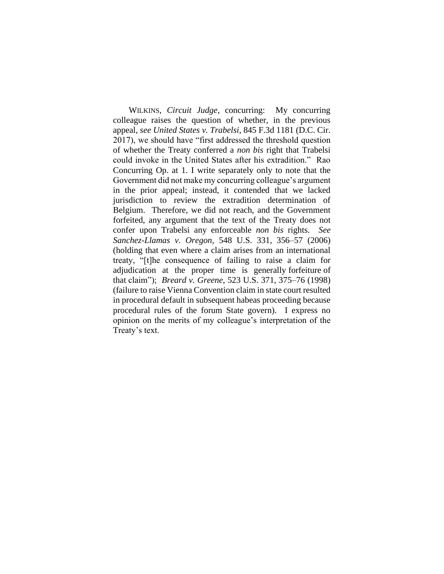WILKINS, *Circuit Judge*, concurring: My concurring colleague raises the question of whether, in the previous appeal, *see United States v. Trabelsi*, 845 F.3d 1181 (D.C. Cir. 2017), we should have "first addressed the threshold question of whether the Treaty conferred a *non bis* right that Trabelsi could invoke in the United States after his extradition." Rao Concurring Op. at 1. I write separately only to note that the Government did not make my concurring colleague's argument in the prior appeal; instead, it contended that we lacked jurisdiction to review the extradition determination of Belgium. Therefore, we did not reach, and the Government forfeited, any argument that the text of the Treaty does not confer upon Trabelsi any enforceable *non bis* rights. *See Sanchez-Llamas v. Oregon*, 548 U.S. 331, 356–57 (2006) (holding that even where a claim arises from an international treaty, "[t]he consequence of failing to raise a claim for adjudication at the proper time is generally forfeiture of that claim"); *Breard v. Greene*, 523 U.S. 371, 375–76 (1998) (failure to raise Vienna Convention claim in state court resulted in procedural default in subsequent habeas proceeding because procedural rules of the forum State govern). I express no opinion on the merits of my colleague's interpretation of the Treaty's text.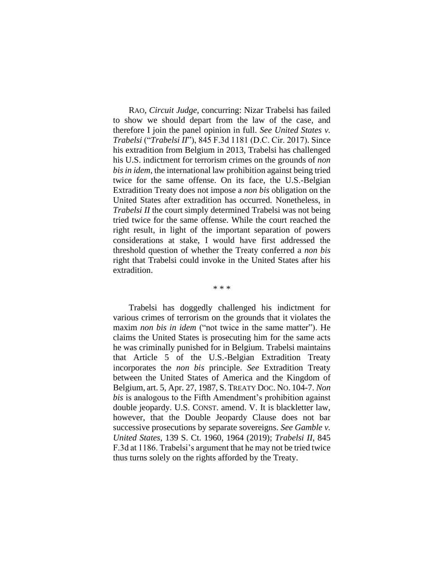RAO, *Circuit Judge*, concurring: Nizar Trabelsi has failed to show we should depart from the law of the case, and therefore I join the panel opinion in full. *See United States v. Trabelsi* ("*Trabelsi II*"), 845 F.3d 1181 (D.C. Cir. 2017). Since his extradition from Belgium in 2013, Trabelsi has challenged his U.S. indictment for terrorism crimes on the grounds of *non bis in idem*, the international law prohibition against being tried twice for the same offense. On its face, the U.S.-Belgian Extradition Treaty does not impose a *non bis* obligation on the United States after extradition has occurred. Nonetheless, in *Trabelsi II* the court simply determined Trabelsi was not being tried twice for the same offense. While the court reached the right result, in light of the important separation of powers considerations at stake, I would have first addressed the threshold question of whether the Treaty conferred a *non bis* right that Trabelsi could invoke in the United States after his extradition.

\* \* \*

Trabelsi has doggedly challenged his indictment for various crimes of terrorism on the grounds that it violates the maxim *non bis in idem* ("not twice in the same matter"). He claims the United States is prosecuting him for the same acts he was criminally punished for in Belgium. Trabelsi maintains that Article 5 of the U.S.-Belgian Extradition Treaty incorporates the *non bis* principle. *See* Extradition Treaty between the United States of America and the Kingdom of Belgium, art. 5, Apr. 27, 1987, S. TREATY DOC. NO. 104-7. *Non bis* is analogous to the Fifth Amendment's prohibition against double jeopardy. U.S. CONST. amend. V. It is blackletter law, however, that the Double Jeopardy Clause does not bar successive prosecutions by separate sovereigns. *See Gamble v. United States*, 139 S. Ct. 1960, 1964 (2019); *Trabelsi II*, 845 F.3d at 1186. Trabelsi's argument that he may not be tried twice thus turns solely on the rights afforded by the Treaty.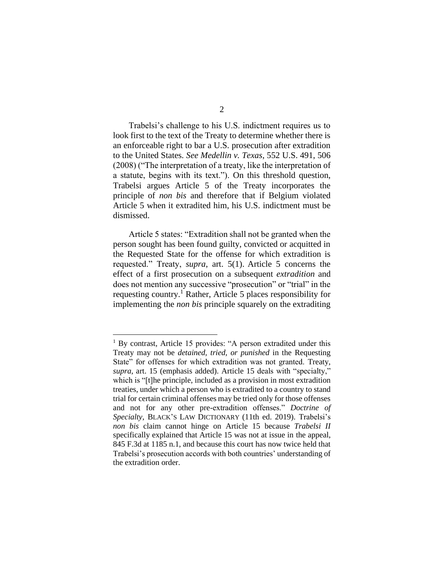Trabelsi's challenge to his U.S. indictment requires us to look first to the text of the Treaty to determine whether there is an enforceable right to bar a U.S. prosecution after extradition to the United States. *See Medellin v. Texas*, 552 U.S. 491, 506 (2008) ("The interpretation of a treaty, like the interpretation of a statute, begins with its text."). On this threshold question, Trabelsi argues Article 5 of the Treaty incorporates the principle of *non bis* and therefore that if Belgium violated Article 5 when it extradited him, his U.S. indictment must be dismissed.

Article 5 states: "Extradition shall not be granted when the person sought has been found guilty, convicted or acquitted in the Requested State for the offense for which extradition is requested." Treaty, *supra*, art. 5(1). Article 5 concerns the effect of a first prosecution on a subsequent *extradition* and does not mention any successive "prosecution" or "trial" in the requesting country.<sup>1</sup> Rather, Article 5 places responsibility for implementing the *non bis* principle squarely on the extraditing

<sup>&</sup>lt;sup>1</sup> By contrast, Article 15 provides: "A person extradited under this Treaty may not be *detained, tried, or punished* in the Requesting State" for offenses for which extradition was not granted. Treaty, *supra*, art. 15 (emphasis added). Article 15 deals with "specialty," which is "[t]he principle, included as a provision in most extradition treaties, under which a person who is extradited to a country to stand trial for certain criminal offenses may be tried only for those offenses and not for any other pre-extradition offenses." *Doctrine of Specialty*, BLACK'S LAW DICTIONARY (11th ed. 2019). Trabelsi's *non bis* claim cannot hinge on Article 15 because *Trabelsi II* specifically explained that Article 15 was not at issue in the appeal, 845 F.3d at 1185 n.1, and because this court has now twice held that Trabelsi's prosecution accords with both countries' understanding of the extradition order.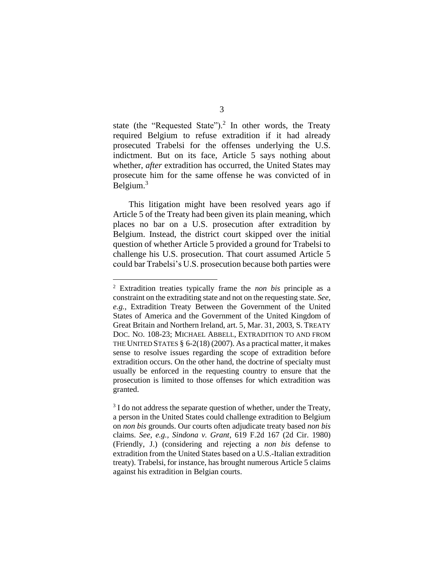state (the "Requested State").<sup>2</sup> In other words, the Treaty required Belgium to refuse extradition if it had already prosecuted Trabelsi for the offenses underlying the U.S. indictment. But on its face, Article 5 says nothing about whether, *after* extradition has occurred, the United States may prosecute him for the same offense he was convicted of in Belgium.<sup>3</sup>

This litigation might have been resolved years ago if Article 5 of the Treaty had been given its plain meaning, which places no bar on a U.S. prosecution after extradition by Belgium. Instead, the district court skipped over the initial question of whether Article 5 provided a ground for Trabelsi to challenge his U.S. prosecution. That court assumed Article 5 could bar Trabelsi's U.S. prosecution because both parties were

<sup>2</sup> Extradition treaties typically frame the *non bis* principle as a constraint on the extraditing state and not on the requesting state. *See, e.g.*, Extradition Treaty Between the Government of the United States of America and the Government of the United Kingdom of Great Britain and Northern Ireland, art. 5, Mar. 31, 2003, S. TREATY DOC. NO. 108-23; MICHAEL ABBELL, EXTRADITION TO AND FROM THE UNITED STATES § 6-2(18) (2007). As a practical matter, it makes sense to resolve issues regarding the scope of extradition before extradition occurs. On the other hand, the doctrine of specialty must usually be enforced in the requesting country to ensure that the prosecution is limited to those offenses for which extradition was granted.

 $3$  I do not address the separate question of whether, under the Treaty, a person in the United States could challenge extradition to Belgium on *non bis* grounds. Our courts often adjudicate treaty based *non bis* claims. *See, e.g., Sindona v. Grant*, 619 F.2d 167 (2d Cir. 1980) (Friendly, J.) (considering and rejecting a *non bis* defense to extradition from the United States based on a U.S.-Italian extradition treaty). Trabelsi, for instance, has brought numerous Article 5 claims against his extradition in Belgian courts.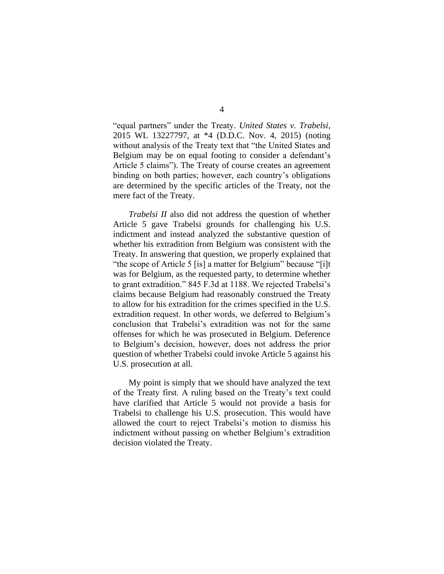"equal partners" under the Treaty. *United States v. Trabelsi*, 2015 WL 13227797, at \*4 (D.D.C. Nov. 4, 2015) (noting without analysis of the Treaty text that "the United States and Belgium may be on equal footing to consider a defendant's Article 5 claims"). The Treaty of course creates an agreement binding on both parties; however, each country's obligations are determined by the specific articles of the Treaty, not the mere fact of the Treaty.

*Trabelsi II* also did not address the question of whether Article 5 gave Trabelsi grounds for challenging his U.S. indictment and instead analyzed the substantive question of whether his extradition from Belgium was consistent with the Treaty. In answering that question, we properly explained that "the scope of Article 5 [is] a matter for Belgium" because "[i]t was for Belgium, as the requested party, to determine whether to grant extradition." 845 F.3d at 1188. We rejected Trabelsi's claims because Belgium had reasonably construed the Treaty to allow for his extradition for the crimes specified in the U.S. extradition request. In other words, we deferred to Belgium's conclusion that Trabelsi's extradition was not for the same offenses for which he was prosecuted in Belgium. Deference to Belgium's decision, however, does not address the prior question of whether Trabelsi could invoke Article 5 against his U.S. prosecution at all.

My point is simply that we should have analyzed the text of the Treaty first. A ruling based on the Treaty's text could have clarified that Article 5 would not provide a basis for Trabelsi to challenge his U.S. prosecution. This would have allowed the court to reject Trabelsi's motion to dismiss his indictment without passing on whether Belgium's extradition decision violated the Treaty.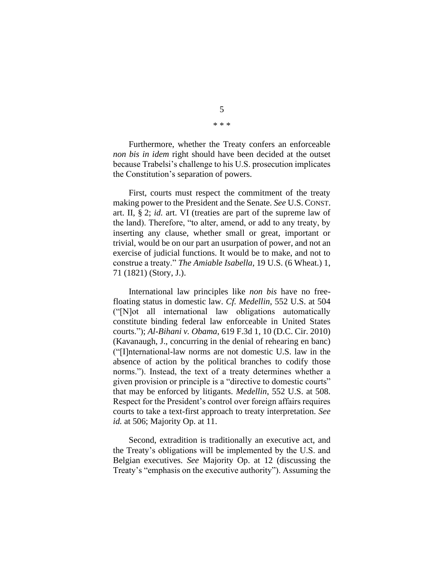Furthermore, whether the Treaty confers an enforceable *non bis in idem* right should have been decided at the outset because Trabelsi's challenge to his U.S. prosecution implicates the Constitution's separation of powers.

First, courts must respect the commitment of the treaty making power to the President and the Senate. *See* U.S. CONST. art. II, § 2; *id.* art. VI (treaties are part of the supreme law of the land). Therefore, "to alter, amend, or add to any treaty, by inserting any clause, whether small or great, important or trivial, would be on our part an usurpation of power, and not an exercise of judicial functions. It would be to make, and not to construe a treaty." *The Amiable Isabella*, 19 U.S. (6 Wheat.) 1, 71 (1821) (Story, J.).

International law principles like *non bis* have no freefloating status in domestic law. *Cf. Medellin*, 552 U.S. at 504 ("[N]ot all international law obligations automatically constitute binding federal law enforceable in United States courts."); *Al-Bihani v. Obama*, 619 F.3d 1, 10 (D.C. Cir. 2010) (Kavanaugh, J., concurring in the denial of rehearing en banc) ("[I]nternational-law norms are not domestic U.S. law in the absence of action by the political branches to codify those norms."). Instead, the text of a treaty determines whether a given provision or principle is a "directive to domestic courts" that may be enforced by litigants. *Medellin*, 552 U.S. at 508. Respect for the President's control over foreign affairs requires courts to take a text-first approach to treaty interpretation. *See id.* at 506; Majority Op. at 11.

Second, extradition is traditionally an executive act, and the Treaty's obligations will be implemented by the U.S. and Belgian executives. *See* Majority Op. at 12 (discussing the Treaty's "emphasis on the executive authority"). Assuming the

5 \* \* \*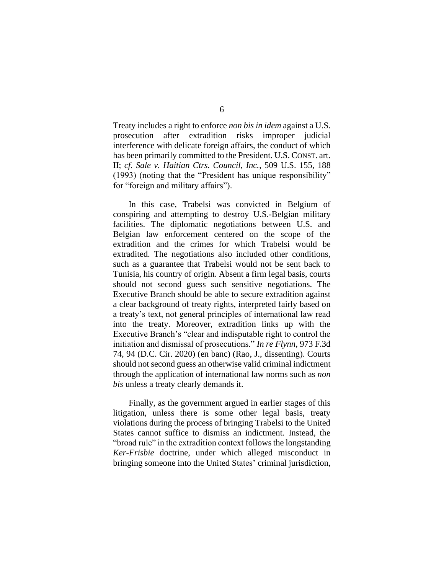Treaty includes a right to enforce *non bis in idem* against a U.S. prosecution after extradition risks improper judicial interference with delicate foreign affairs, the conduct of which has been primarily committed to the President. U.S. CONST. art. II; *cf. Sale v. Haitian Ctrs. Council, Inc.*, 509 U.S. 155, 188 (1993) (noting that the "President has unique responsibility" for "foreign and military affairs").

In this case, Trabelsi was convicted in Belgium of conspiring and attempting to destroy U.S.-Belgian military facilities. The diplomatic negotiations between U.S. and Belgian law enforcement centered on the scope of the extradition and the crimes for which Trabelsi would be extradited. The negotiations also included other conditions, such as a guarantee that Trabelsi would not be sent back to Tunisia, his country of origin. Absent a firm legal basis, courts should not second guess such sensitive negotiations. The Executive Branch should be able to secure extradition against a clear background of treaty rights, interpreted fairly based on a treaty's text, not general principles of international law read into the treaty. Moreover, extradition links up with the Executive Branch's "clear and indisputable right to control the initiation and dismissal of prosecutions." *In re Flynn*, 973 F.3d 74, 94 (D.C. Cir. 2020) (en banc) (Rao, J., dissenting). Courts should not second guess an otherwise valid criminal indictment through the application of international law norms such as *non bis* unless a treaty clearly demands it.

Finally, as the government argued in earlier stages of this litigation, unless there is some other legal basis, treaty violations during the process of bringing Trabelsi to the United States cannot suffice to dismiss an indictment. Instead, the "broad rule" in the extradition context follows the longstanding *Ker-Frisbie* doctrine, under which alleged misconduct in bringing someone into the United States' criminal jurisdiction,

# 6